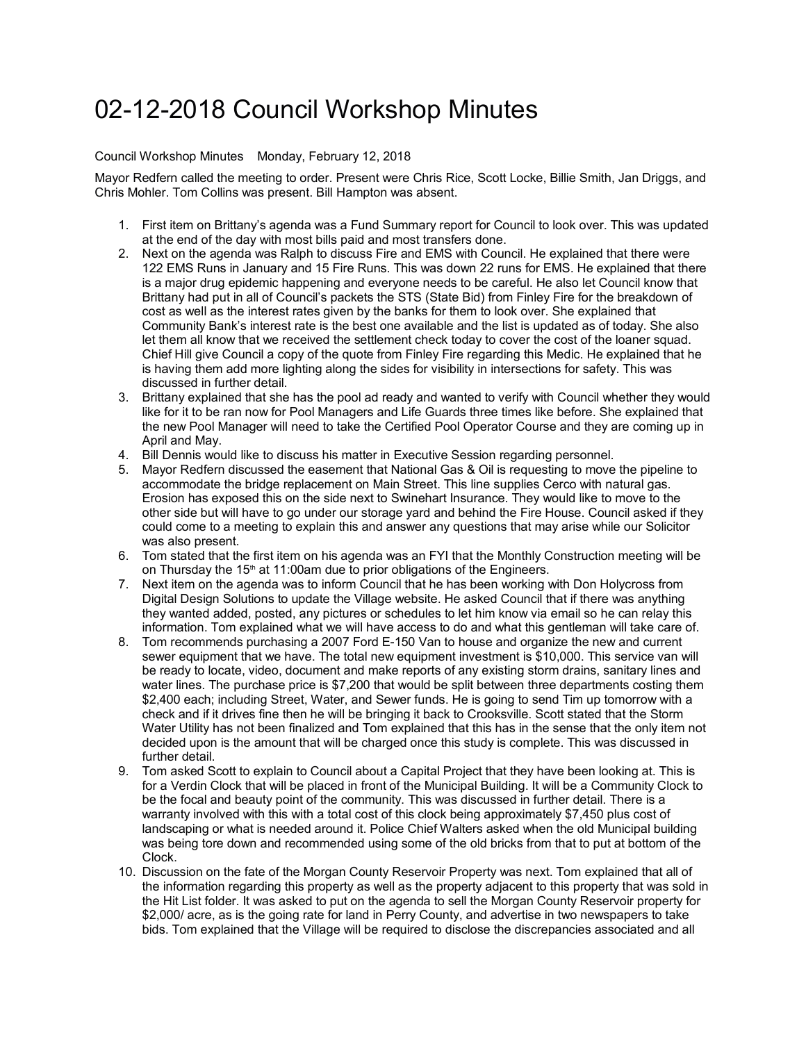## 02-12-2018 Council Workshop Minutes

## Council Workshop Minutes Monday, February 12, 2018

Mayor Redfern called the meeting to order. Present were Chris Rice, Scott Locke, Billie Smith, Jan Driggs, and Chris Mohler. Tom Collins was present. Bill Hampton was absent.

- 1. First item on Brittany's agenda was a Fund Summary report for Council to look over. This was updated at the end of the day with most bills paid and most transfers done.
- 2. Next on the agenda was Ralph to discuss Fire and EMS with Council. He explained that there were 122 EMS Runs in January and 15 Fire Runs. This was down 22 runs for EMS. He explained that there is a major drug epidemic happening and everyone needs to be careful. He also let Council know that Brittany had put in all of Council's packets the STS (State Bid) from Finley Fire for the breakdown of cost as well as the interest rates given by the banks for them to look over. She explained that Community Bank's interest rate is the best one available and the list is updated as of today. She also let them all know that we received the settlement check today to cover the cost of the loaner squad. Chief Hill give Council a copy of the quote from Finley Fire regarding this Medic. He explained that he is having them add more lighting along the sides for visibility in intersections for safety. This was discussed in further detail.
- 3. Brittany explained that she has the pool ad ready and wanted to verify with Council whether they would like for it to be ran now for Pool Managers and Life Guards three times like before. She explained that the new Pool Manager will need to take the Certified Pool Operator Course and they are coming up in April and May.
- 4. Bill Dennis would like to discuss his matter in Executive Session regarding personnel.
- 5. Mayor Redfern discussed the easement that National Gas & Oil is requesting to move the pipeline to accommodate the bridge replacement on Main Street. This line supplies Cerco with natural gas. Erosion has exposed this on the side next to Swinehart Insurance. They would like to move to the other side but will have to go under our storage yard and behind the Fire House. Council asked if they could come to a meeting to explain this and answer any questions that may arise while our Solicitor was also present.
- 6. Tom stated that the first item on his agenda was an FYI that the Monthly Construction meeting will be on Thursday the 15<sup>th</sup> at 11:00am due to prior obligations of the Engineers.
- 7. Next item on the agenda was to inform Council that he has been working with Don Holycross from Digital Design Solutions to update the Village website. He asked Council that if there was anything they wanted added, posted, any pictures or schedules to let him know via email so he can relay this information. Tom explained what we will have access to do and what this gentleman will take care of.
- 8. Tom recommends purchasing a 2007 Ford E-150 Van to house and organize the new and current sewer equipment that we have. The total new equipment investment is \$10,000. This service van will be ready to locate, video, document and make reports of any existing storm drains, sanitary lines and water lines. The purchase price is \$7,200 that would be split between three departments costing them \$2,400 each; including Street, Water, and Sewer funds. He is going to send Tim up tomorrow with a check and if it drives fine then he will be bringing it back to Crooksville. Scott stated that the Storm Water Utility has not been finalized and Tom explained that this has in the sense that the only item not decided upon is the amount that will be charged once this study is complete. This was discussed in further detail.
- 9. Tom asked Scott to explain to Council about a Capital Project that they have been looking at. This is for a Verdin Clock that will be placed in front of the Municipal Building. It will be a Community Clock to be the focal and beauty point of the community. This was discussed in further detail. There is a warranty involved with this with a total cost of this clock being approximately \$7,450 plus cost of landscaping or what is needed around it. Police Chief Walters asked when the old Municipal building was being tore down and recommended using some of the old bricks from that to put at bottom of the Clock.
- 10. Discussion on the fate of the Morgan County Reservoir Property was next. Tom explained that all of the information regarding this property as well as the property adjacent to this property that was sold in the Hit List folder. It was asked to put on the agenda to sell the Morgan County Reservoir property for \$2,000/ acre, as is the going rate for land in Perry County, and advertise in two newspapers to take bids. Tom explained that the Village will be required to disclose the discrepancies associated and all